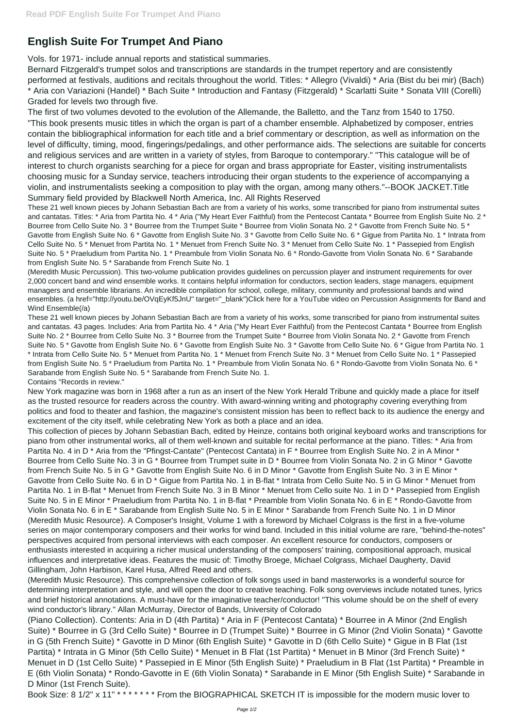## **English Suite For Trumpet And Piano**

Vols. for 1971- include annual reports and statistical summaries.

Bernard Fitzgerald's trumpet solos and transcriptions are standards in the trumpet repertory and are consistently performed at festivals, auditions and recitals throughout the world. Titles: \* Allegro (Vivaldi) \* Aria (Bist du bei mir) (Bach) \* Aria con Variazioni (Handel) \* Bach Suite \* Introduction and Fantasy (Fitzgerald) \* Scarlatti Suite \* Sonata VIII (Corelli) Graded for levels two through five.

The first of two volumes devoted to the evolution of the Allemande, the Balletto, and the Tanz from 1540 to 1750. "This book presents music titles in which the organ is part of a chamber ensemble. Alphabetized by composer, entries contain the bibliographical information for each title and a brief commentary or description, as well as information on the level of difficulty, timing, mood, fingerings/pedalings, and other performance aids. The selections are suitable for concerts and religious services and are written in a variety of styles, from Baroque to contemporary." "This catalogue will be of interest to church organists searching for a piece for organ and brass appropriate for Easter, visiting instrumentalists choosing music for a Sunday service, teachers introducing their organ students to the experience of accompanying a violin, and instrumentalists seeking a composition to play with the organ, among many others."--BOOK JACKET.Title Summary field provided by Blackwell North America, Inc. All Rights Reserved

These 21 well known pieces by Johann Sebastian Bach are from a variety of his works, some transcribed for piano from instrumental suites and cantatas. Titles: \* Aria from Partita No. 4 \* Aria ("My Heart Ever Faithful) from the Pentecost Cantata \* Bourree from English Suite No. 2 \* Bourree from Cello Suite No. 3 \* Bourree from the Trumpet Suite \* Bourree from Violin Sonata No. 2 \* Gavotte from French Suite No. 5 \* Gavotte from English Suite No. 6 \* Gavotte from English Suite No. 3 \* Gavotte from Cello Suite No. 6 \* Gigue from Partita No. 1 \* Intrata from Cello Suite No. 5 \* Menuet from Partita No. 1 \* Menuet from French Suite No. 3 \* Menuet from Cello Suite No. 1 \* Passepied from English Suite No. 5 \* Praeludium from Partita No. 1 \* Preambule from Violin Sonata No. 6 \* Rondo-Gavotte from Violin Sonata No. 6 \* Sarabande from English Suite No. 5 \* Sarabande from French Suite No. 1

(Meredith Music Percussion). This two-volume publication provides guidelines on percussion player and instrument requirements for over 2,000 concert band and wind ensemble works. It contains helpful information for conductors, section leaders, stage managers, equipment managers and ensemble librarians. An incredible compilation for school, college, military, community and professional bands and wind ensembles. (a href="http://youtu.be/OVqEyKf5JnU" target="\_blank")Click here for a YouTube video on Percussion Assignments for Band and Wind Ensemble(/a)

These 21 well known pieces by Johann Sebastian Bach are from a variety of his works, some transcribed for piano from instrumental suites and cantatas. 43 pages. Includes: Aria from Partita No. 4 \* Aria ("My Heart Ever Faithful) from the Pentecost Cantata \* Bourree from English Suite No. 2 \* Bourree from Cello Suite No. 3 \* Bourree from the Trumpet Suite \* Bourree from Violin Sonata No. 2 \* Gavotte from French Suite No. 5 \* Gavotte from English Suite No. 6 \* Gavotte from English Suite No. 3 \* Gavotte from Cello Suite No. 6 \* Gigue from Partita No. 1 \* Intrata from Cello Suite No. 5 \* Menuet from Partita No. 1 \* Menuet from French Suite No. 3 \* Menuet from Cello Suite No. 1 \* Passepied from English Suite No. 5 \* Praeludium from Partita No. 1 \* Preambule from Violin Sonata No. 6 \* Rondo-Gavotte from Violin Sonata No. 6 \* Sarabande from English Suite No. 5 \* Sarabande from French Suite No. 1.

Contains "Records in review."

New York magazine was born in 1968 after a run as an insert of the New York Herald Tribune and quickly made a place for itself as the trusted resource for readers across the country. With award-winning writing and photography covering everything from politics and food to theater and fashion, the magazine's consistent mission has been to reflect back to its audience the energy and excitement of the city itself, while celebrating New York as both a place and an idea.

This collection of pieces by Johann Sebastian Bach, edited by Heinze, contains both original keyboard works and transcriptions for piano from other instrumental works, all of them well-known and suitable for recital performance at the piano. Titles: \* Aria from Partita No. 4 in D \* Aria from the "Pfingst-Cantate" (Pentecost Cantata) in F \* Bourree from English Suite No. 2 in A Minor \* Bourree from Cello Suite No. 3 in G \* Bourree from Trumpet suite in D \* Bourree from Violin Sonata No. 2 in G Minor \* Gavotte from French Suite No. 5 in G \* Gavotte from English Suite No. 6 in D Minor \* Gavotte from English Suite No. 3 in E Minor \* Gavotte from Cello Suite No. 6 in D \* Gigue from Partita No. 1 in B-flat \* Intrata from Cello Suite No. 5 in G Minor \* Menuet from Partita No. 1 in B-flat \* Menuet from French Suite No. 3 in B Minor \* Menuet from Cello suite No. 1 in D \* Passepied from English Suite No. 5 in E Minor \* Praeludium from Partita No. 1 in B-flat \* Preamble from Violin Sonata No. 6 in E \* Rondo-Gavotte from Violin Sonata No. 6 in E \* Sarabande from English Suite No. 5 in E Minor \* Sarabande from French Suite No. 1 in D Minor (Meredith Music Resource). A Composer's Insight, Volume 1 with a foreword by Michael Colgrass is the first in a five-volume series on major contemporary composers and their works for wind band. Included in this initial volume are rare, "behind-the-notes" perspectives acquired from personal interviews with each composer. An excellent resource for conductors, composers or enthusiasts interested in acquiring a richer musical understanding of the composers' training, compositional approach, musical influences and interpretative ideas. Features the music of: Timothy Broege, Michael Colgrass, Michael Daugherty, David Gillingham, John Harbison, Karel Husa, Alfred Reed and others. (Meredith Music Resource). This comprehensive collection of folk songs used in band masterworks is a wonderful source for determining interpretation and style, and will open the door to creative teaching. Folk song overviews include notated tunes, lyrics and brief historical annotations. A must-have for the imaginative teacher/conductor! "This volume should be on the shelf of every wind conductor's library." Allan McMurray, Director of Bands, University of Colorado (Piano Collection). Contents: Aria in D (4th Partita) \* Aria in F (Pentecost Cantata) \* Bourree in A Minor (2nd English Suite) \* Bourree in G (3rd Cello Suite) \* Bourree in D (Trumpet Suite) \* Bourree in G Minor (2nd Violin Sonata) \* Gavotte in G (5th French Suite) \* Gavotte in D Minor (6th English Suite) \* Gavotte in D (6th Cello Suite) \* Gigue in B Flat (1st Partita) \* Intrata in G Minor (5th Cello Suite) \* Menuet in B Flat (1st Partita) \* Menuet in B Minor (3rd French Suite) \* Menuet in D (1st Cello Suite) \* Passepied in E Minor (5th English Suite) \* Praeludium in B Flat (1st Partita) \* Preamble in E (6th Violin Sonata) \* Rondo-Gavotte in E (6th Violin Sonata) \* Sarabande in E Minor (5th English Suite) \* Sarabande in D Minor (1st French Suite). Book Size: 8 1/2" x 11" \* \* \* \* \* \* \* From the BIOGRAPHICAL SKETCH IT is impossible for the modern music lover to